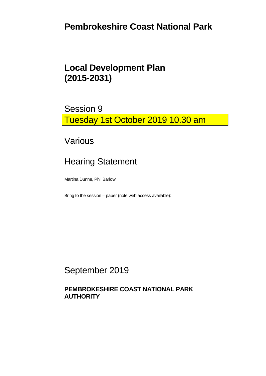## **Pembrokeshire Coast National Park**

## **Local Development Plan (2015-2031)**

Session 9 Tuesday 1st October 2019 10.30 am

Various

# Hearing Statement

Martina Dunne, Phil Barlow

Bring to the session – paper (note web access available):

September 2019

#### **PEMBROKESHIRE COAST NATIONAL PARK AUTHORITY**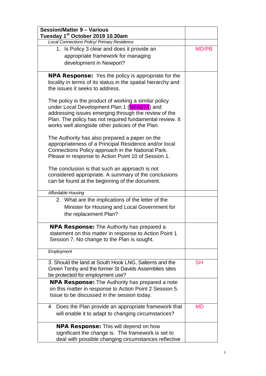| <b>Session/Matter 9 - Various</b><br>Tuesday 1 <sup>st</sup> October 2019 10.30am                                                                                                                                                                                            |              |
|------------------------------------------------------------------------------------------------------------------------------------------------------------------------------------------------------------------------------------------------------------------------------|--------------|
| Local Connections Policy/ Primary Residence                                                                                                                                                                                                                                  |              |
| 1. Is Policy 3 clear and does it provide an<br>appropriate framework for managing                                                                                                                                                                                            | <b>MD/PB</b> |
| development in Newport?                                                                                                                                                                                                                                                      |              |
| <b>NPA Response:</b> Yes the policy is appropriate for the<br>locality in terms of its status in the spatial hierarchy and<br>the issues it seeks to address.                                                                                                                |              |
| The policy is the product of working a similar policy<br>under Local Development Plan 1 (NPA074) and<br>addressing issues emerging through the review of the<br>Plan. The policy has not required fundamental review. It<br>works well alongside other policies of the Plan. |              |
| The Authority has also prepared a paper on the<br>appropriateness of a Principal Residence and/or local<br>Connections Policy approach in the National Park.<br>Please in response to Action Point 10 of Session 1.                                                          |              |
| The conclusion is that such an approach is not<br>considered appropriate. A summary of the conclusions<br>can be found at the beginning of the document.                                                                                                                     |              |
| Affordable Housing                                                                                                                                                                                                                                                           |              |
| 2. What are the implications of the letter of the<br>Minister for Housing and Local Government for<br>the replacement Plan?                                                                                                                                                  |              |
| <b>NPA Response:</b> The Authority has prepared a<br>statement on this matter in response to Action Point 1<br>Session 7. No change to the Plan is sought.                                                                                                                   |              |
| Employment                                                                                                                                                                                                                                                                   |              |
| 3. Should the land at South Hook LNG, Salterns and the<br>Green Tenby and the former St Davids Assemblies sites<br>be protected for employment use?                                                                                                                          | <b>SH</b>    |
| <b>NPA Response:</b> The Authority has prepared a note<br>on this matter in response to Action Point 2 Session 5.<br>Issue to be discussed in the session today.                                                                                                             |              |
| Does the Plan provide an appropriate framework that<br>4<br>will enable it to adapt to changing circumstances?                                                                                                                                                               | <b>MD</b>    |
| <b>NPA Response:</b> This will depend on how<br>significant the change is. The framework is set to<br>deal with possible changing circumstances reflective                                                                                                                   |              |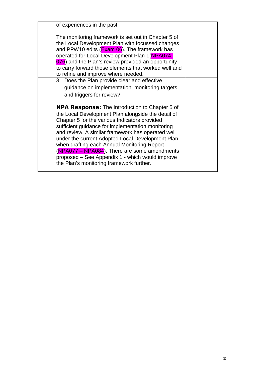| of experiences in the past.                                                                                                                                                                                                                                                                                                                                                                                                                                                                                              |  |
|--------------------------------------------------------------------------------------------------------------------------------------------------------------------------------------------------------------------------------------------------------------------------------------------------------------------------------------------------------------------------------------------------------------------------------------------------------------------------------------------------------------------------|--|
| The monitoring framework is set out in Chapter 5 of<br>the Local Development Plan with focussed changes<br>and PPW10 edits (Exam 06). The framework has<br>operated for Local Development Plan 1(NPA074-<br>076) and the Plan's review provided an opportunity<br>to carry forward those elements that worked well and<br>to refine and improve where needed.                                                                                                                                                            |  |
| 3. Does the Plan provide clear and effective<br>guidance on implementation, monitoring targets<br>and triggers for review?                                                                                                                                                                                                                                                                                                                                                                                               |  |
| <b>NPA Response:</b> The Introduction to Chapter 5 of<br>the Local Development Plan alongside the detail of<br>Chapter 5 for the various Indicators provided<br>sufficient guidance for implementation monitoring<br>and review. A similar framework has operated well<br>under the current Adopted Local Development Plan<br>when drafting each Annual Monitoring Report<br>(NPA077 - NPA084). There are some amendments<br>proposed – See Appendix 1 - which would improve<br>the Plan's monitoring framework further. |  |